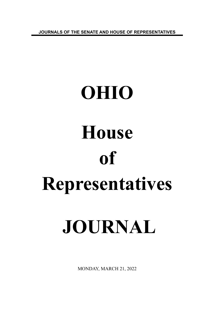**JOURNALS OF THE SENATE AND HOUSE OF REPRESENTATIVES**

# **OHIO House of Representatives JOURNAL**

MONDAY, MARCH 21, 2022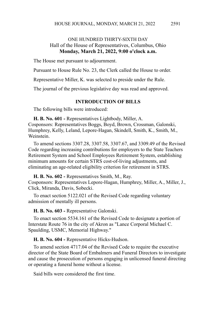## ONE HUNDRED THIRTY-SIXTH DAY Hall of the House of Representatives, Columbus, Ohio **Monday, March 21, 2022, 9:00 o'clock a.m.**

The House met pursuant to adjournment.

Pursuant to House Rule No. 23, the Clerk called the House to order.

Representative Miller, K. was selected to preside under the Rule.

The journal of the previous legislative day was read and approved.

#### **INTRODUCTION OF BILLS**

The following bills were introduced:

**H. B. No. 601 -** Representatives Lightbody, Miller, A. Cosponsors: Representatives Boggs, Boyd, Brown, Crossman, Galonski, Humphrey, Kelly, Leland, Lepore-Hagan, Skindell, Smith, K., Smith, M., Weinstein.

To amend sections 3307.28, 3307.58, 3307.67, and 3309.49 of the Revised Code regarding increasing contributions for employers to the State Teachers Retirement System and School Employees Retirement System, establishing minimum amounts for certain STRS cost-of-living adjustments, and eliminating an age-related eligibility criterion for retirement in STRS.

**H. B. No. 602 -** Representatives Smith, M., Ray.

Cosponsors: Representatives Lepore-Hagan, Humphrey, Miller, A., Miller, J., Click, Miranda, Davis, Sobecki.

To enact section 5122.021 of the Revised Code regarding voluntary admission of mentally ill persons.

**H. B. No. 603 -** Representative Galonski.

To enact section 5534.161 of the Revised Code to designate a portion of Interstate Route 76 in the city of Akron as "Lance Corporal Michael C. Spaulding, USMC, Memorial Highway."

**H. B. No. 604 -** Representative Hicks-Hudson.

To amend section 4717.04 of the Revised Code to require the executive director of the State Board of Embalmers and Funeral Directors to investigate and cause the prosecution of persons engaging in unlicensed funeral directing or operating a funeral home without a license.

Said bills were considered the first time.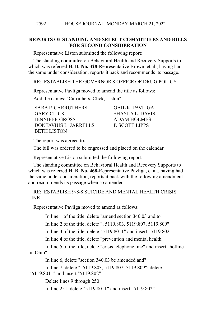### **REPORTS OF STANDING AND SELECT COMMITTEES AND BILLS FOR SECOND CONSIDERATION**

Representative Liston submitted the following report:

The standing committee on Behavioral Health and Recovery Supports to which was referred **H. B. No. 328**-Representative Brown, et al., having had the same under consideration, reports it back and recommends its passage.

RE: ESTABLISH THE GOVERNOR'S OFFICE OF DRUG POLICY

Representative Pavliga moved to amend the title as follows:

Add the names: "Carruthers, Click, Liston"

SARA P. CARRUTHERS GAIL K. PAVLIGA GARY CLICK SHAYLA L. DAVIS JENNIFER GROSS ADAM HOLMES DONTAVIUS L. JARRELLS P. SCOTT LIPPS BETH LISTON

The report was agreed to.

The bill was ordered to be engrossed and placed on the calendar.

Representative Liston submitted the following report:

The standing committee on Behavioral Health and Recovery Supports to which was referred **H. B. No. 468**-Representative Pavliga, et al., having had the same under consideration, reports it back with the following amendment and recommends its passage when so amended.

RE: ESTABLISH 9-8-8 SUICIDE AND MENTAL HEALTH CRISIS LINE

Representative Pavliga moved to amend as follows:

In line 1 of the title, delete "amend section 340.03 and to"

In line 2 of the title, delete ", 5119.803, 5119.807, 5119.809"

In line 3 of the title, delete "5119.8011" and insert "5119.802"

In line 4 of the title, delete "prevention and mental health"

In line 5 of the title, delete "crisis telephone line" and insert "hotline in Ohio"

In line 6, delete "section 340.03 be amended and"

In line 7, delete ", 5119.803, 5119.807, 5119.809"; delete "5119.8011" and insert "5119.802"

Delete lines 9 through 250

In line 251, delete "5119.8011" and insert "5119.802"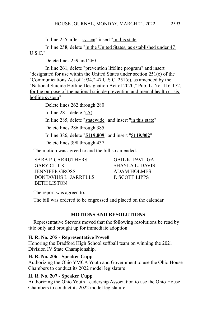In line 255, after "system" insert "in this state"

In line 258, delete "in the United States, as established under 47 U.S.C."

Delete lines 259 and 260

In line 261, delete "prevention lifeline program" and insert "designated for use within the United States under section 251(e) of the "Communications Act of 1934," 47 U.S.C. 251(e), as amended by the "National Suicide Hotline Designation Act of 2020," Pub. L. No. 116-172, for the purpose of the national suicide prevention and mental health crisis hotline system"

> Delete lines 262 through 280 In line 281, delete "(A)" In line 285, delete "statewide" and insert "in this state" Delete lines 286 through 385 In line 386, delete "**5119.809**" and insert "**5119.802**" Delete lines 398 through 437

The motion was agreed to and the bill so amended.

SARA P. CARRUTHERS GAIL K. PAVLIGA GARY CLICK SHAYLA L. DAVIS JENNIFER GROSS ADAM HOLMES DONTAVIUS L. JARRELLS P. SCOTT LIPPS BETH LISTON

The report was agreed to.

The bill was ordered to be engrossed and placed on the calendar.

# **MOTIONS AND RESOLUTIONS**

Representative Stevens moved that the following resolutions be read by title only and brought up for immediate adoption:

# **H. R. No. 205 - Representative Powell**

Honoring the Bradford High School softball team on winning the 2021 Division IV State Championship.

# **H. R. No. 206 - Speaker Cupp**

Authorizing the Ohio YMCA Youth and Government to use the Ohio House Chambers to conduct its 2022 model legislature.

# **H. R. No. 207 - Speaker Cupp**

Authorizing the Ohio Youth Leadership Association to use the Ohio House Chambers to conduct its 2022 model legislature.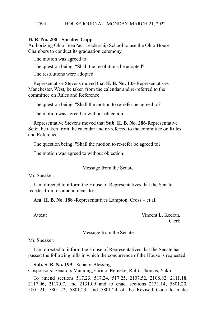#### **H. R. No. 208 - Speaker Cupp**

Authorizing Ohio TeenPact Leadership School to use the Ohio House Chambers to conduct its graduation ceremony.

The motion was agreed to.

The question being, "Shall the resolutions be adopted?"

The resolutions were adopted.

Representative Stevens moved that **H. B. No. 135**-Representatives Manchester, West, be taken from the calendar and re-referred to the committee on Rules and Reference.

The question being, "Shall the motion to re-refer be agreed to?"

The motion was agreed to without objection.

Representative Stevens moved that **Sub. H. B. No. 286**-Representative Seitz, be taken from the calendar and re-referred to the committee on Rules and Reference.

The question being, "Shall the motion to re-refer be agreed to?"

The motion was agreed to without objection.

Message from the Senate

Mr. Speaker:

I am directed to inform the House of Representatives that the Senate recedes from its amendments to:

**Am. H. B. No. 188** -Representatives Lampton, Cross – et al.

Attest: Vincent L. Keeran, Clerk.

Message from the Senate

Mr. Speaker:

I am directed to inform the House of Representatives that the Senate has passed the following bills in which the concurrence of the House is requested:

**Sub. S. B. No. 199** - Senator Blessing

Cosponsors: Senators Manning, Cirino, Reineke, Rulli, Thomas, Yuko

To amend sections 517.23, 517.24, 517.25, 2107.52, 2108.82, 2111.18, 2117.06, 2117.07, and 2131.09 and to enact sections 2131.14, 5801.20, 5801.21, 5801.22, 5801.23, and 5801.24 of the Revised Code to make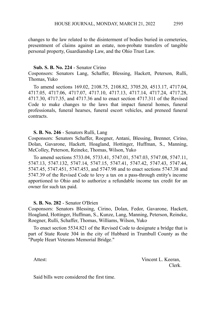changes to the law related to the disinterment of bodies buried in cemeteries, presentment of claims against an estate, non-probate transfers of tangible personal property, Guardianship Law, and the Ohio Trust Law.

#### **Sub. S. B. No. 224** - Senator Cirino

Cosponsors: Senators Lang, Schaffer, Blessing, Hackett, Peterson, Rulli, Thomas, Yuko

To amend sections 169.02, 2108.75, 2108.82, 3705.20, 4513.17, 4717.04, 4717.05, 4717.06, 4717.07, 4717.10, 4717.13, 4717.14, 4717.24, 4717.28, 4717.30, 4717.35, and 4717.36 and to enact section 4717.311 of the Revised Code to make changes to the laws that impact funeral homes, funeral professionals, funeral hearses, funeral escort vehicles, and preneed funeral contracts.

#### **S. B. No. 246** - Senators Rulli, Lang

Cosponsors: Senators Schaffer, Roegner, Antani, Blessing, Brenner, Cirino, Dolan, Gavarone, Hackett, Hoagland, Hottinger, Huffman, S., Manning, McColley, Peterson, Reineke, Thomas, Wilson, Yuko

To amend sections 5733.04, 5733.41, 5747.01, 5747.03, 5747.08, 5747.11, 5747.13, 5747.132, 5747.14, 5747.15, 5747.41, 5747.42, 5747.43, 5747.44, 5747.45, 5747.451, 5747.453, and 5747.98 and to enact sections 5747.38 and 5747.39 of the Revised Code to levy a tax on a pass-through entity's income apportioned to Ohio and to authorize a refundable income tax credit for an owner for such tax paid.

#### **S. B. No. 282** - Senator O'Brien

Cosponsors: Senators Blessing, Cirino, Dolan, Fedor, Gavarone, Hackett, Hoagland, Hottinger, Huffman, S., Kunze, Lang, Manning, Peterson, Reineke, Roegner, Rulli, Schaffer, Thomas, Williams, Wilson, Yuko

To enact section 5534.821 of the Revised Code to designate a bridge that is part of State Route 304 in the city of Hubbard in Trumbull County as the "Purple Heart Veterans Memorial Bridge."

Attest: Vincent L. Keeran, Clerk.

Said bills were considered the first time.